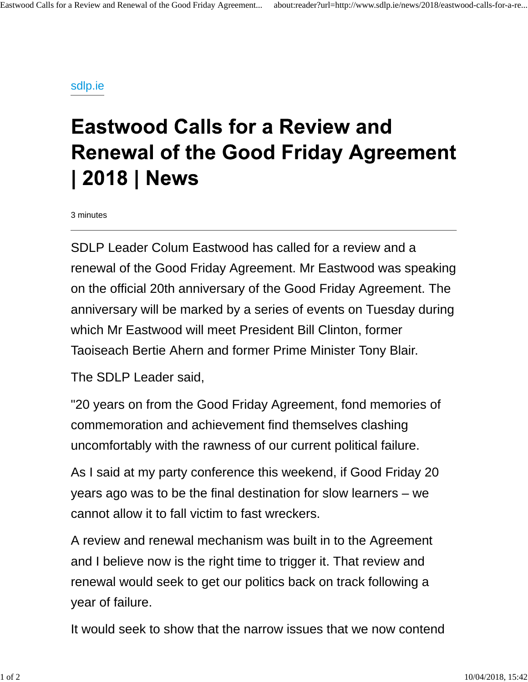## sdlp.ie

## **Eastwood Calls for a Review and Renewal of the Good Friday Agreement** | 2018 | News

3 minutes

SDLP Leader Colum Eastwood has called for a review and a renewal of the Good Friday Agreement. Mr Eastwood was speaking on the official 20th anniversary of the Good Friday Agreement. The anniversary will be marked by a series of events on Tuesday during which Mr Eastwood will meet President Bill Clinton, former Taoiseach Bertie Ahern and former Prime Minister Tony Blair.

The SDLP Leader said,

"20 years on from the Good Friday Agreement, fond memories of commemoration and achievement find themselves clashing uncomfortably with the rawness of our current political failure.

As I said at my party conference this weekend, if Good Friday 20 years ago was to be the final destination for slow learners – we cannot allow it to fall victim to fast wreckers.

A review and renewal mechanism was built in to the Agreement and I believe now is the right time to trigger it. That review and renewal would seek to get our politics back on track following a year of failure.

It would seek to show that the narrow issues that we now contend